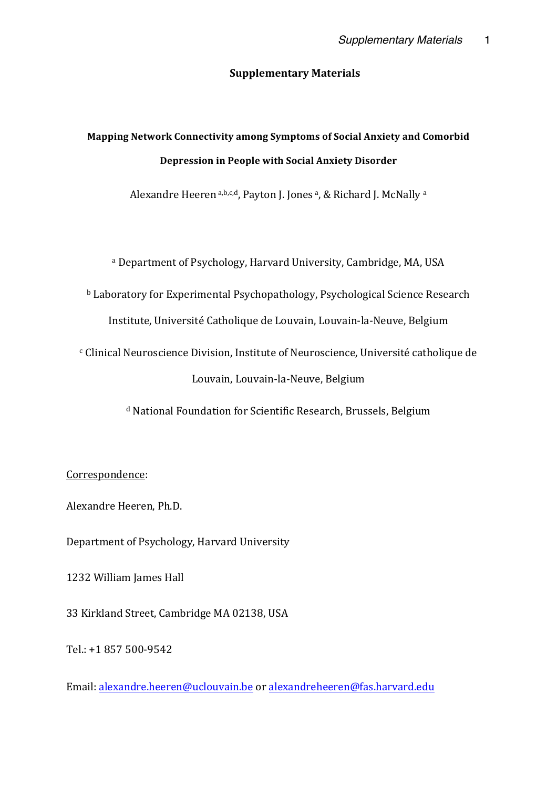#### **Supplementary Materials**

# **Mapping Network Connectivity among Symptoms of Social Anxiety and Comorbid Depression in People with Social Anxiety Disorder**

Alexandre Heeren a,b,c,d, Payton J. Jones a, & Richard J. McNally a

a Department of Psychology, Harvard University, Cambridge, MA, USA

 $b$  Laboratory for Experimental Psychopathology, Psychological Science Research

Institute, Université Catholique de Louvain, Louvain-la-Neuve, Belgium

<sup>c</sup> Clinical Neuroscience Division, Institute of Neuroscience, Université catholique de Louvain, Louvain-la-Neuve, Belgium

<sup>d</sup> National Foundation for Scientific Research, Brussels, Belgium

### Correspondence:

Alexandre Heeren, Ph.D.

Department of Psychology, Harvard University

1232 William James Hall

33 Kirkland Street, Cambridge MA 02138, USA

Tel.: +1 857 500-9542

Email: alexandre.heeren@uclouvain.be or alexandreheeren@fas.harvard.edu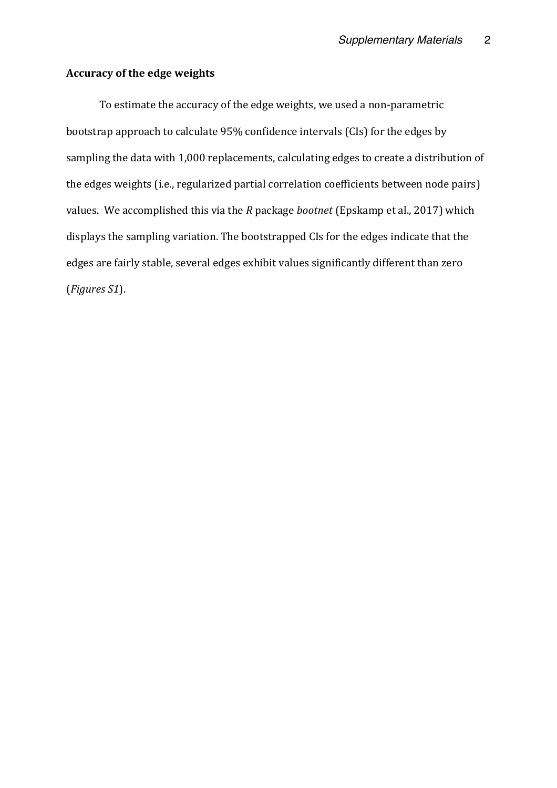### **Accuracy of the edge weights**

To estimate the accuracy of the edge weights, we used a non-parametric bootstrap approach to calculate 95% confidence intervals (CIs) for the edges by sampling the data with 1,000 replacements, calculating edges to create a distribution of the edges weights (i.e., regularized partial correlation coefficients between node pairs) values. We accomplished this via the *R* package *bootnet* (Epskamp et al., 2017) which displays the sampling variation. The bootstrapped CIs for the edges indicate that the edges are fairly stable, several edges exhibit values significantly different than zero (*Figures S1*).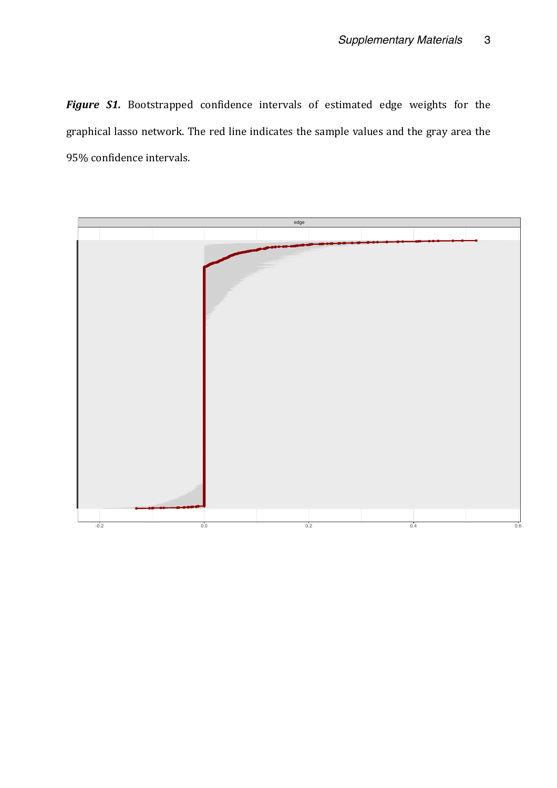Figure S1. Bootstrapped confidence intervals of estimated edge weights for the graphical lasso network. The red line indicates the sample values and the gray area the 95% confidence intervals.